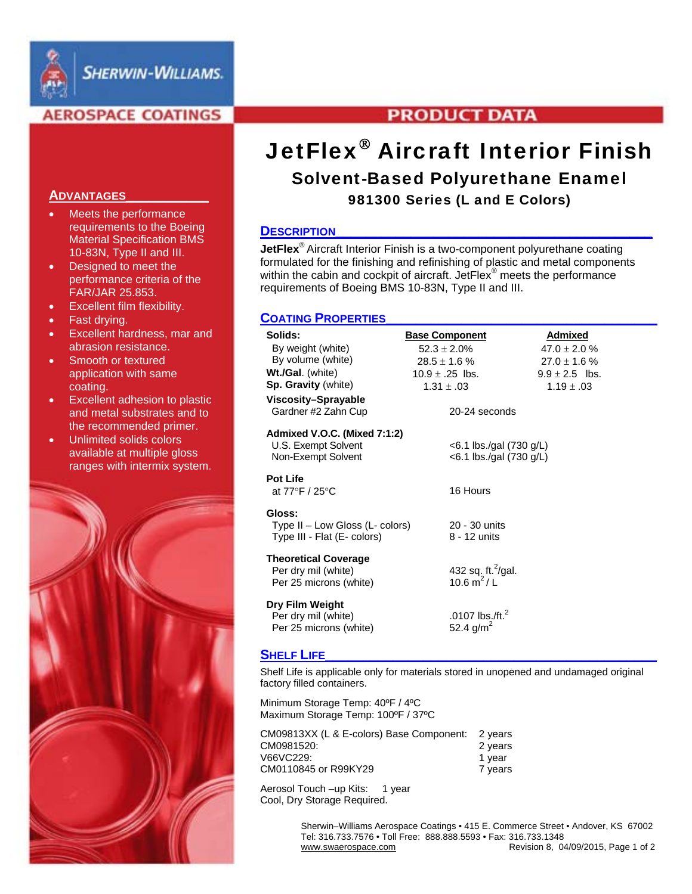

## **AEROSPACE COATINGS**

#### **ADVANTAGES\_\_\_\_\_\_\_\_\_\_\_**

- Meets the performance requirements to the Boeing Material Specification BMS 10-83N, Type II and III.
- Designed to meet the performance criteria of the FAR/JAR 25.853.
- Excellent film flexibility.
- Fast drying.
- Excellent hardness, mar and abrasion resistance.
- Smooth or textured application with same coating.
- **Excellent adhesion to plastic** and metal substrates and to the recommended primer.
- Unlimited solids colors available at multiple gloss ranges with intermix system.



## **PRODUCT DATA**

# **JetFlex<sup>®</sup> Aircraft Interior Finish** Solvent-Based Polyurethane Enamel

## 981300 Series (L and E Colors)

## **DESCRIPTION**

**JetFlex<sup>®</sup>** Aircraft Interior Finish is a two-component polyurethane coating formulated for the finishing and refinishing of plastic and metal components within the cabin and cockpit of aircraft. JetFlex® meets the performance requirements of Boeing BMS 10-83N, Type II and III.

## **COATING PROPERTIES**

| Solids:                         | <b>Base Component</b>      | Admixed            |
|---------------------------------|----------------------------|--------------------|
| By weight (white)               | $52.3 \pm 2.0\%$           | $47.0 \pm 2.0 \%$  |
| By volume (white)               | $28.5 \pm 1.6$ %           | $27.0 \pm 1.6$ %   |
| Wt./Gal. (white)                | 10.9 $\pm$ .25 lbs.        | $9.9 \pm 2.5$ lbs. |
| Sp. Gravity (white)             | $1.31 \pm .03$             | $1.19 \pm .03$     |
| Viscosity-Sprayable             |                            |                    |
| Gardner #2 Zahn Cup             | 20-24 seconds              |                    |
| Admixed V.O.C. (Mixed 7:1:2)    |                            |                    |
| U.S. Exempt Solvent             | $<$ 6.1 lbs./gal (730 g/L) |                    |
| Non-Exempt Solvent              | <6.1 lbs./gal (730 g/L)    |                    |
| <b>Pot Life</b>                 |                            |                    |
| at 77°F / 25°C                  | 16 Hours                   |                    |
| Gloss:                          |                            |                    |
| $Type II - Low Glass (L-color)$ | 20 - 30 units              |                    |
| Type III - Flat (E- colors)     | 8 - 12 units               |                    |
| <b>Theoretical Coverage</b>     |                            |                    |
| Per dry mil (white)             | 432 sq. ft. $^{2}$ /gal.   |                    |
| Per 25 microns (white)          | 10.6 $m^2/L$               |                    |
| Dry Film Weight                 |                            |                    |
| Per dry mil (white)             | .0107 lbs./ft. $^2$        |                    |
| Per 25 microns (white)          | 52.4 $g/m^2$               |                    |
|                                 |                            |                    |

## **SHELF LIFE**

Shelf Life is applicable only for materials stored in unopened and undamaged original factory filled containers.

Minimum Storage Temp: 40ºF / 4ºC Maximum Storage Temp: 100ºF / 37ºC

| CM09813XX (L & E-colors) Base Component: | 2 vears |
|------------------------------------------|---------|
| CM0981520:                               | 2 years |
| V66VC229:                                | 1 year  |
| CM0110845 or R99KY29                     | 7 vears |

Aerosol Touch -up Kits: 1 year Cool, Dry Storage Required.

> Sherwin–Williams Aerospace Coatings • 415 E. Commerce Street • Andover, KS 67002 Tel: 316.733.7576 • Toll Free: 888.888.5593 • Fax: 316.733.1348 Revision 8, 04/09/2015, Page 1 of 2